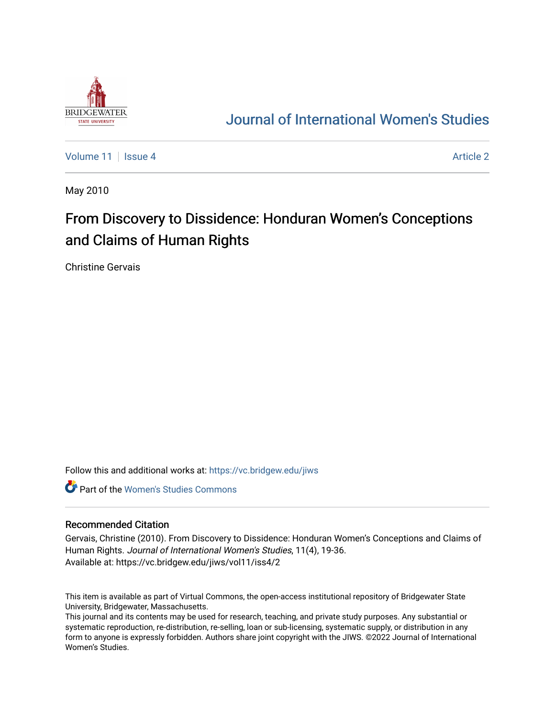

## [Journal of International Women's Studies](https://vc.bridgew.edu/jiws)

[Volume 11](https://vc.bridgew.edu/jiws/vol11) | [Issue 4](https://vc.bridgew.edu/jiws/vol11/iss4) [Article 2](https://vc.bridgew.edu/jiws/vol11/iss4/2) Article 2 Article 2 Article 2 Article 2 Article 2 Article 2 Article 2 Article 2

May 2010

# From Discovery to Dissidence: Honduran Women's Conceptions and Claims of Human Rights

Christine Gervais

Follow this and additional works at: [https://vc.bridgew.edu/jiws](https://vc.bridgew.edu/jiws?utm_source=vc.bridgew.edu%2Fjiws%2Fvol11%2Fiss4%2F2&utm_medium=PDF&utm_campaign=PDFCoverPages)

**C** Part of the Women's Studies Commons

#### Recommended Citation

Gervais, Christine (2010). From Discovery to Dissidence: Honduran Women's Conceptions and Claims of Human Rights. Journal of International Women's Studies, 11(4), 19-36. Available at: https://vc.bridgew.edu/jiws/vol11/iss4/2

This item is available as part of Virtual Commons, the open-access institutional repository of Bridgewater State University, Bridgewater, Massachusetts.

This journal and its contents may be used for research, teaching, and private study purposes. Any substantial or systematic reproduction, re-distribution, re-selling, loan or sub-licensing, systematic supply, or distribution in any form to anyone is expressly forbidden. Authors share joint copyright with the JIWS. ©2022 Journal of International Women's Studies.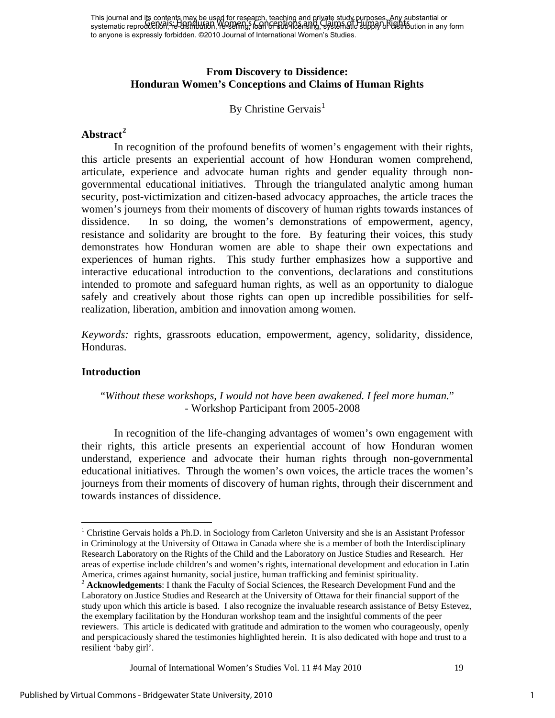### **From Discovery to Dissidence: Honduran Women's Conceptions and Claims of Human Rights**

## By Christine Gervais<sup>[1](#page-1-0)</sup>

## **Abstract[2](#page-1-1)**

In recognition of the profound benefits of women's engagement with their rights, this article presents an experiential account of how Honduran women comprehend, articulate, experience and advocate human rights and gender equality through nongovernmental educational initiatives. Through the triangulated analytic among human security, post-victimization and citizen-based advocacy approaches, the article traces the women's journeys from their moments of discovery of human rights towards instances of dissidence. In so doing, the women's demonstrations of empowerment, agency, resistance and solidarity are brought to the fore. By featuring their voices, this study demonstrates how Honduran women are able to shape their own expectations and experiences of human rights. This study further emphasizes how a supportive and interactive educational introduction to the conventions, declarations and constitutions intended to promote and safeguard human rights, as well as an opportunity to dialogue safely and creatively about those rights can open up incredible possibilities for selfrealization, liberation, ambition and innovation among women.

*Keywords:* rights, grassroots education, empowerment, agency, solidarity, dissidence, Honduras.

#### **Introduction**

 $\overline{a}$ 

## "*Without these workshops, I would not have been awakened. I feel more human.*" - Workshop Participant from 2005-2008

In recognition of the life-changing advantages of women's own engagement with their rights, this article presents an experiential account of how Honduran women understand, experience and advocate their human rights through non-governmental educational initiatives. Through the women's own voices, the article traces the women's journeys from their moments of discovery of human rights, through their discernment and towards instances of dissidence.

<span id="page-1-0"></span><sup>&</sup>lt;sup>1</sup> Christine Gervais holds a Ph.D. in Sociology from Carleton University and she is an Assistant Professor in Criminology at the University of Ottawa in Canada where she is a member of both the Interdisciplinary Research Laboratory on the Rights of the Child and the Laboratory on Justice Studies and Research. Her areas of expertise include children's and women's rights, international development and education in Latin America, crimes against humanity, social justice, human trafficking and feminist spirituality.

<span id="page-1-1"></span><sup>2</sup> **Acknowledgements**: I thank the Faculty of Social Sciences, the Research Development Fund and the Laboratory on Justice Studies and Research at the University of Ottawa for their financial support of the study upon which this article is based. I also recognize the invaluable research assistance of Betsy Estevez, the exemplary facilitation by the Honduran workshop team and the insightful comments of the peer reviewers. This article is dedicated with gratitude and admiration to the women who courageously, openly and perspicaciously shared the testimonies highlighted herein. It is also dedicated with hope and trust to a resilient 'baby girl'.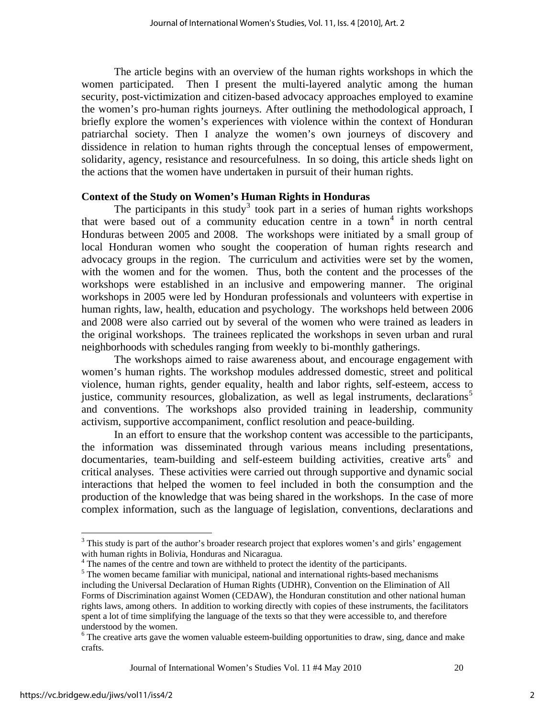The article begins with an overview of the human rights workshops in which the women participated. Then I present the multi-layered analytic among the human security, post-victimization and citizen-based advocacy approaches employed to examine the women's pro-human rights journeys. After outlining the methodological approach, I briefly explore the women's experiences with violence within the context of Honduran patriarchal society. Then I analyze the women's own journeys of discovery and dissidence in relation to human rights through the conceptual lenses of empowerment, solidarity, agency, resistance and resourcefulness. In so doing, this article sheds light on the actions that the women have undertaken in pursuit of their human rights.

#### **Context of the Study on Women's Human Rights in Honduras**

The participants in this study<sup>[3](#page-2-0)</sup> took part in a series of human rights workshops that were based out of a community education centre in a town<sup>[4](#page-2-1)</sup> in north central Honduras between 2005 and 2008. The workshops were initiated by a small group of local Honduran women who sought the cooperation of human rights research and advocacy groups in the region. The curriculum and activities were set by the women, with the women and for the women. Thus, both the content and the processes of the workshops were established in an inclusive and empowering manner. The original workshops in 2005 were led by Honduran professionals and volunteers with expertise in human rights, law, health, education and psychology. The workshops held between 2006 and 2008 were also carried out by several of the women who were trained as leaders in the original workshops. The trainees replicated the workshops in seven urban and rural neighborhoods with schedules ranging from weekly to bi-monthly gatherings.

The workshops aimed to raise awareness about, and encourage engagement with women's human rights. The workshop modules addressed domestic, street and political violence, human rights, gender equality, health and labor rights, self-esteem, access to justice, community resources, globalization, as well as legal instruments, declarations<sup>[5](#page-2-2)</sup> and conventions. The workshops also provided training in leadership, community activism, supportive accompaniment, conflict resolution and peace-building.

In an effort to ensure that the workshop content was accessible to the participants, the information was disseminated through various means including presentations, documentaries, team-building and self-esteem building activities, creative arts<sup>[6](#page-2-3)</sup> and critical analyses. These activities were carried out through supportive and dynamic social interactions that helped the women to feel included in both the consumption and the production of the knowledge that was being shared in the workshops. In the case of more complex information, such as the language of legislation, conventions, declarations and

Journal of International Women's Studies Vol. 11 #4 May 2010 20

<span id="page-2-0"></span> $3$  This study is part of the author's broader research project that explores women's and girls' engagement with human rights in Bolivia, Honduras and Nicaragua.

<sup>&</sup>lt;sup>4</sup> The names of the centre and town are withheld to protect the identity of the participants.

<span id="page-2-2"></span><span id="page-2-1"></span> $<sup>5</sup>$  The women became familiar with municipal, national and international rights-based mechanisms</sup> including the Universal Declaration of Human Rights (UDHR), Convention on the Elimination of All Forms of Discrimination against Women (CEDAW), the Honduran constitution and other national human rights laws, among others. In addition to working directly with copies of these instruments, the facilitators spent a lot of time simplifying the language of the texts so that they were accessible to, and therefore understood by the women.

<span id="page-2-3"></span><sup>&</sup>lt;sup>6</sup> The creative arts gave the women valuable esteem-building opportunities to draw, sing, dance and make crafts.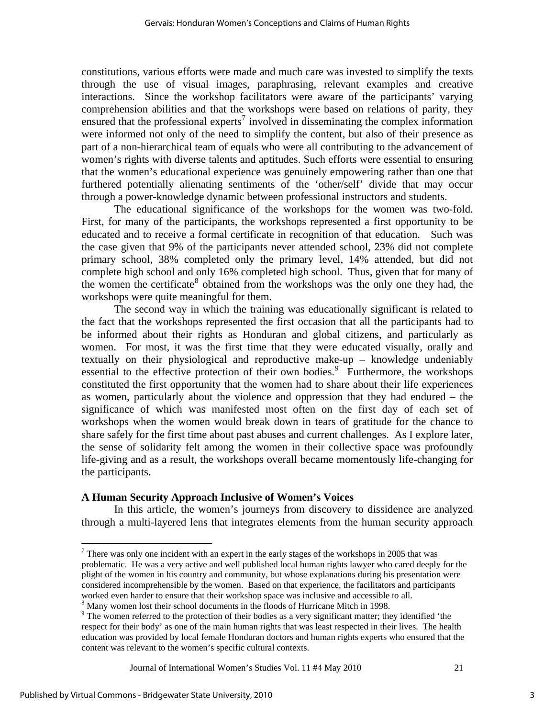constitutions, various efforts were made and much care was invested to simplify the texts through the use of visual images, paraphrasing, relevant examples and creative interactions. Since the workshop facilitators were aware of the participants' varying comprehension abilities and that the workshops were based on relations of parity, they ensured that the professional experts<sup>[7](#page-3-0)</sup> involved in disseminating the complex information were informed not only of the need to simplify the content, but also of their presence as part of a non-hierarchical team of equals who were all contributing to the advancement of women's rights with diverse talents and aptitudes. Such efforts were essential to ensuring that the women's educational experience was genuinely empowering rather than one that furthered potentially alienating sentiments of the 'other/self' divide that may occur through a power-knowledge dynamic between professional instructors and students.

The educational significance of the workshops for the women was two-fold. First, for many of the participants, the workshops represented a first opportunity to be educated and to receive a formal certificate in recognition of that education. Such was the case given that 9% of the participants never attended school, 23% did not complete primary school, 38% completed only the primary level, 14% attended, but did not complete high school and only 16% completed high school. Thus, given that for many of the women the certificate<sup>[8](#page-3-1)</sup> obtained from the workshops was the only one they had, the workshops were quite meaningful for them.

The second way in which the training was educationally significant is related to the fact that the workshops represented the first occasion that all the participants had to be informed about their rights as Honduran and global citizens, and particularly as women. For most, it was the first time that they were educated visually, orally and textually on their physiological and reproductive make-up – knowledge undeniably essential to the effective protection of their own bodies.<sup>[9](#page-3-2)</sup> Furthermore, the workshops constituted the first opportunity that the women had to share about their life experiences as women, particularly about the violence and oppression that they had endured – the significance of which was manifested most often on the first day of each set of workshops when the women would break down in tears of gratitude for the chance to share safely for the first time about past abuses and current challenges. As I explore later, the sense of solidarity felt among the women in their collective space was profoundly life-giving and as a result, the workshops overall became momentously life-changing for the participants.

#### **A Human Security Approach Inclusive of Women's Voices**

In this article, the women's journeys from discovery to dissidence are analyzed through a multi-layered lens that integrates elements from the human security approach

Journal of International Women's Studies Vol. 11 #4 May 2010 21

<span id="page-3-0"></span> $<sup>7</sup>$  There was only one incident with an expert in the early stages of the workshops in 2005 that was</sup> problematic. He was a very active and well published local human rights lawyer who cared deeply for the plight of the women in his country and community, but whose explanations during his presentation were considered incomprehensible by the women. Based on that experience, the facilitators and participants worked even harder to ensure that their workshop space was inclusive and accessible to all. 8

<span id="page-3-1"></span><sup>&</sup>lt;sup>8</sup> Many women lost their school documents in the floods of Hurricane Mitch in 1998.

<span id="page-3-2"></span> $9$ <sup>9</sup> The women referred to the protection of their bodies as a very significant matter; they identified 'the respect for their body' as one of the main human rights that was least respected in their lives. The health education was provided by local female Honduran doctors and human rights experts who ensured that the content was relevant to the women's specific cultural contexts.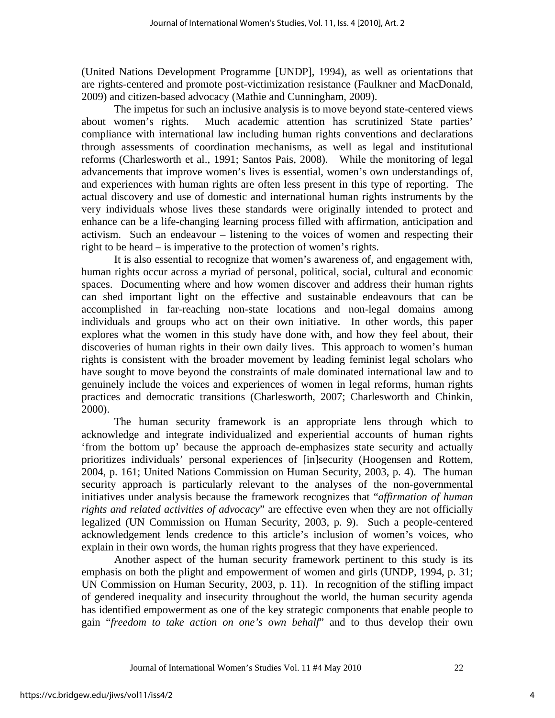(United Nations Development Programme [UNDP], 1994), as well as orientations that are rights-centered and promote post-victimization resistance (Faulkner and MacDonald, 2009) and citizen-based advocacy (Mathie and Cunningham, 2009).

The impetus for such an inclusive analysis is to move beyond state-centered views about women's rights. Much academic attention has scrutinized State parties' compliance with international law including human rights conventions and declarations through assessments of coordination mechanisms, as well as legal and institutional reforms (Charlesworth et al., 1991; Santos Pais, 2008). While the monitoring of legal advancements that improve women's lives is essential, women's own understandings of, and experiences with human rights are often less present in this type of reporting. The actual discovery and use of domestic and international human rights instruments by the very individuals whose lives these standards were originally intended to protect and enhance can be a life-changing learning process filled with affirmation, anticipation and activism. Such an endeavour – listening to the voices of women and respecting their right to be heard – is imperative to the protection of women's rights.

It is also essential to recognize that women's awareness of, and engagement with, human rights occur across a myriad of personal, political, social, cultural and economic spaces. Documenting where and how women discover and address their human rights can shed important light on the effective and sustainable endeavours that can be accomplished in far-reaching non-state locations and non-legal domains among individuals and groups who act on their own initiative. In other words, this paper explores what the women in this study have done with, and how they feel about, their discoveries of human rights in their own daily lives. This approach to women's human rights is consistent with the broader movement by leading feminist legal scholars who have sought to move beyond the constraints of male dominated international law and to genuinely include the voices and experiences of women in legal reforms, human rights practices and democratic transitions (Charlesworth, 2007; Charlesworth and Chinkin, 2000).

The human security framework is an appropriate lens through which to acknowledge and integrate individualized and experiential accounts of human rights 'from the bottom up' because the approach de-emphasizes state security and actually prioritizes individuals' personal experiences of [in]security (Hoogensen and Rottem, 2004, p. 161; United Nations Commission on Human Security, 2003, p. 4). The human security approach is particularly relevant to the analyses of the non-governmental initiatives under analysis because the framework recognizes that "*affirmation of human rights and related activities of advocacy*" are effective even when they are not officially legalized (UN Commission on Human Security, 2003, p. 9). Such a people-centered acknowledgement lends credence to this article's inclusion of women's voices, who explain in their own words, the human rights progress that they have experienced.

Another aspect of the human security framework pertinent to this study is its emphasis on both the plight and empowerment of women and girls (UNDP, 1994, p. 31; UN Commission on Human Security, 2003, p. 11). In recognition of the stifling impact of gendered inequality and insecurity throughout the world, the human security agenda has identified empowerment as one of the key strategic components that enable people to gain "*freedom to take action on one's own behalf*" and to thus develop their own

Journal of International Women's Studies Vol. 11 #4 May 2010 22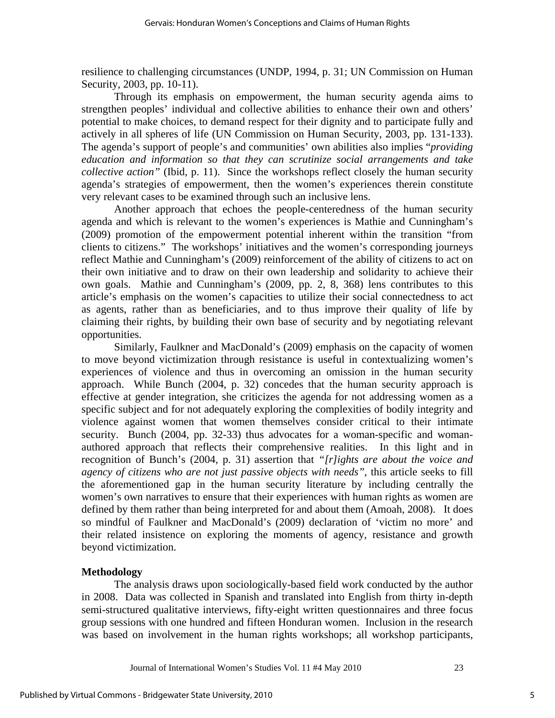resilience to challenging circumstances (UNDP, 1994, p. 31; UN Commission on Human Security, 2003, pp. 10-11).

Through its emphasis on empowerment, the human security agenda aims to strengthen peoples' individual and collective abilities to enhance their own and others' potential to make choices, to demand respect for their dignity and to participate fully and actively in all spheres of life (UN Commission on Human Security, 2003, pp. 131-133). The agenda's support of people's and communities' own abilities also implies "*providing education and information so that they can scrutinize social arrangements and take collective action"* (Ibid, p. 11). Since the workshops reflect closely the human security agenda's strategies of empowerment, then the women's experiences therein constitute very relevant cases to be examined through such an inclusive lens.

Another approach that echoes the people-centeredness of the human security agenda and which is relevant to the women's experiences is Mathie and Cunningham's (2009) promotion of the empowerment potential inherent within the transition "from clients to citizens." The workshops' initiatives and the women's corresponding journeys reflect Mathie and Cunningham's (2009) reinforcement of the ability of citizens to act on their own initiative and to draw on their own leadership and solidarity to achieve their own goals. Mathie and Cunningham's (2009, pp. 2, 8, 368) lens contributes to this article's emphasis on the women's capacities to utilize their social connectedness to act as agents, rather than as beneficiaries, and to thus improve their quality of life by claiming their rights, by building their own base of security and by negotiating relevant opportunities.

Similarly, Faulkner and MacDonald's (2009) emphasis on the capacity of women to move beyond victimization through resistance is useful in contextualizing women's experiences of violence and thus in overcoming an omission in the human security approach. While Bunch (2004, p. 32) concedes that the human security approach is effective at gender integration, she criticizes the agenda for not addressing women as a specific subject and for not adequately exploring the complexities of bodily integrity and violence against women that women themselves consider critical to their intimate security. Bunch (2004, pp. 32-33) thus advocates for a woman-specific and womanauthored approach that reflects their comprehensive realities. In this light and in recognition of Bunch's (2004, p. 31) assertion that *"[r]ights are about the voice and agency of citizens who are not just passive objects with needs"*, this article seeks to fill the aforementioned gap in the human security literature by including centrally the women's own narratives to ensure that their experiences with human rights as women are defined by them rather than being interpreted for and about them (Amoah, 2008). It does so mindful of Faulkner and MacDonald's (2009) declaration of 'victim no more' and their related insistence on exploring the moments of agency, resistance and growth beyond victimization.

#### **Methodology**

The analysis draws upon sociologically-based field work conducted by the author in 2008. Data was collected in Spanish and translated into English from thirty in-depth semi-structured qualitative interviews, fifty-eight written questionnaires and three focus group sessions with one hundred and fifteen Honduran women. Inclusion in the research was based on involvement in the human rights workshops; all workshop participants,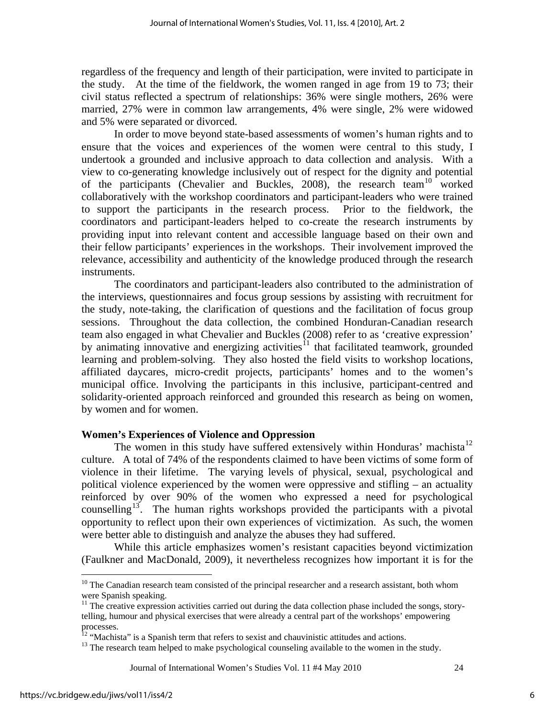regardless of the frequency and length of their participation, were invited to participate in the study. At the time of the fieldwork, the women ranged in age from 19 to 73; their civil status reflected a spectrum of relationships: 36% were single mothers, 26% were married, 27% were in common law arrangements, 4% were single, 2% were widowed and 5% were separated or divorced.

In order to move beyond state-based assessments of women's human rights and to ensure that the voices and experiences of the women were central to this study, I undertook a grounded and inclusive approach to data collection and analysis. With a view to co-generating knowledge inclusively out of respect for the dignity and potential of the participants (Chevalier and Buckles, 2008), the research team<sup>[10](#page-6-0)</sup> worked collaboratively with the workshop coordinators and participant-leaders who were trained to support the participants in the research process. Prior to the fieldwork, the coordinators and participant-leaders helped to co-create the research instruments by providing input into relevant content and accessible language based on their own and their fellow participants' experiences in the workshops. Their involvement improved the relevance, accessibility and authenticity of the knowledge produced through the research instruments.

The coordinators and participant-leaders also contributed to the administration of the interviews, questionnaires and focus group sessions by assisting with recruitment for the study, note-taking, the clarification of questions and the facilitation of focus group sessions. Throughout the data collection, the combined Honduran-Canadian research team also engaged in what Chevalier and Buckles (2008) refer to as 'creative expression' by animating innovative and energizing activities<sup>[11](#page-6-1)</sup> that facilitated teamwork, grounded learning and problem-solving. They also hosted the field visits to workshop locations, affiliated daycares, micro-credit projects, participants' homes and to the women's municipal office. Involving the participants in this inclusive, participant-centred and solidarity-oriented approach reinforced and grounded this research as being on women, by women and for women.

#### **Women's Experiences of Violence and Oppression**

The women in this study have suffered extensively within Honduras' machista<sup>[12](#page-6-2)</sup> culture. A total of 74% of the respondents claimed to have been victims of some form of violence in their lifetime. The varying levels of physical, sexual, psychological and political violence experienced by the women were oppressive and stifling – an actuality reinforced by over 90% of the women who expressed a need for psychological counselling<sup>[13](#page-6-3)</sup>. The human rights workshops provided the participants with a pivotal opportunity to reflect upon their own experiences of victimization. As such, the women were better able to distinguish and analyze the abuses they had suffered.

While this article emphasizes women's resistant capacities beyond victimization (Faulkner and MacDonald, 2009), it nevertheless recognizes how important it is for the

<u>.</u>

<span id="page-6-0"></span> $10$  The Canadian research team consisted of the principal researcher and a research assistant, both whom were Spanish speaking.

<span id="page-6-1"></span><sup>&</sup>lt;sup>11</sup> The creative expression activities carried out during the data collection phase included the songs, storytelling, humour and physical exercises that were already a central part of the workshops' empowering processes.

<span id="page-6-3"></span><span id="page-6-2"></span>

<sup>&</sup>lt;sup>12</sup> "Machista" is a Spanish term that refers to sexist and chauvinistic attitudes and actions.<br><sup>13</sup> The research team helped to make psychological counseling available to the women in the study.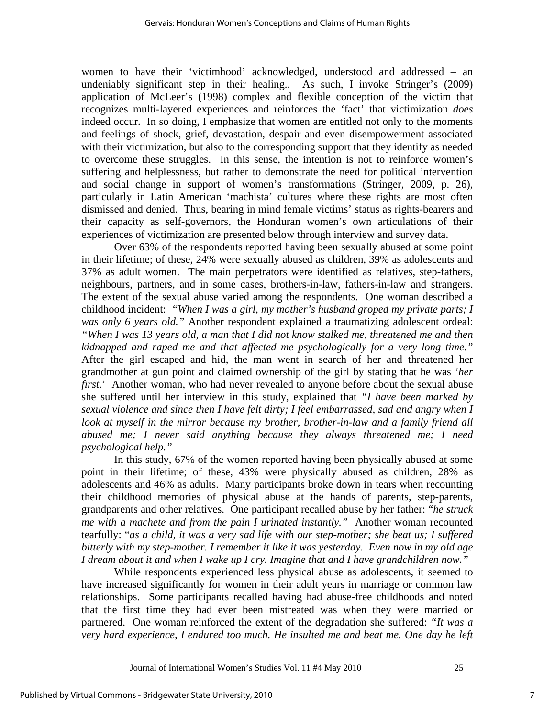women to have their 'victimhood' acknowledged, understood and addressed – an undeniably significant step in their healing.. As such, I invoke Stringer's (2009) application of McLeer's (1998) complex and flexible conception of the victim that recognizes multi-layered experiences and reinforces the 'fact' that victimization *does* indeed occur. In so doing, I emphasize that women are entitled not only to the moments and feelings of shock, grief, devastation, despair and even disempowerment associated with their victimization, but also to the corresponding support that they identify as needed to overcome these struggles. In this sense, the intention is not to reinforce women's suffering and helplessness, but rather to demonstrate the need for political intervention and social change in support of women's transformations (Stringer, 2009, p. 26), particularly in Latin American 'machista' cultures where these rights are most often dismissed and denied. Thus, bearing in mind female victims' status as rights-bearers and their capacity as self-governors, the Honduran women's own articulations of their experiences of victimization are presented below through interview and survey data.

Over 63% of the respondents reported having been sexually abused at some point in their lifetime; of these, 24% were sexually abused as children, 39% as adolescents and 37% as adult women. The main perpetrators were identified as relatives, step-fathers, neighbours, partners, and in some cases, brothers-in-law, fathers-in-law and strangers. The extent of the sexual abuse varied among the respondents. One woman described a childhood incident: *"When I was a girl, my mother's husband groped my private parts; I was only 6 years old."* Another respondent explained a traumatizing adolescent ordeal: *"When I was 13 years old, a man that I did not know stalked me, threatened me and then kidnapped and raped me and that affected me psychologically for a very long time."*  After the girl escaped and hid, the man went in search of her and threatened her grandmother at gun point and claimed ownership of the girl by stating that he was '*her first*.' Another woman, who had never revealed to anyone before about the sexual abuse she suffered until her interview in this study, explained that *"I have been marked by sexual violence and since then I have felt dirty; I feel embarrassed, sad and angry when I look at myself in the mirror because my brother, brother-in-law and a family friend all abused me; I never said anything because they always threatened me; I need psychological help."* 

In this study, 67% of the women reported having been physically abused at some point in their lifetime; of these, 43% were physically abused as children, 28% as adolescents and 46% as adults. Many participants broke down in tears when recounting their childhood memories of physical abuse at the hands of parents, step-parents, grandparents and other relatives. One participant recalled abuse by her father: "*he struck me with a machete and from the pain I urinated instantly."* Another woman recounted tearfully: "*as a child, it was a very sad life with our step-mother; she beat us; I suffered bitterly with my step-mother. I remember it like it was yesterday. Even now in my old age I dream about it and when I wake up I cry. Imagine that and I have grandchildren now."*

While respondents experienced less physical abuse as adolescents, it seemed to have increased significantly for women in their adult years in marriage or common law relationships. Some participants recalled having had abuse-free childhoods and noted that the first time they had ever been mistreated was when they were married or partnered. One woman reinforced the extent of the degradation she suffered: *"It was a very hard experience, I endured too much. He insulted me and beat me. One day he left*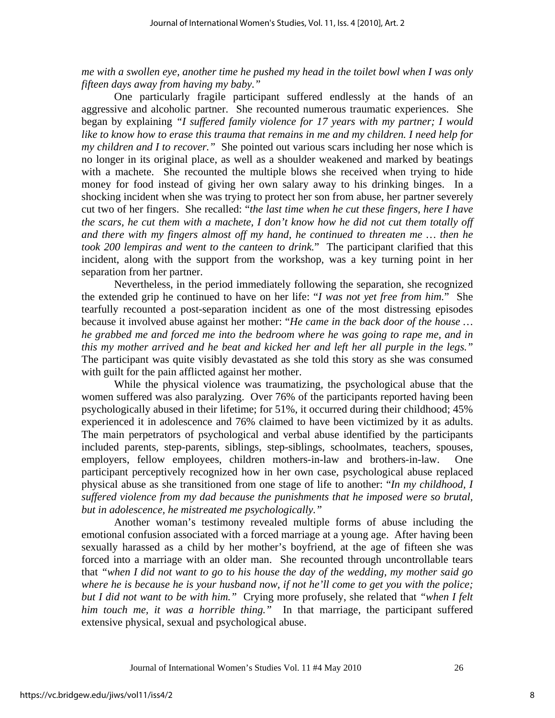*me with a swollen eye, another time he pushed my head in the toilet bowl when I was only fifteen days away from having my baby."*

One particularly fragile participant suffered endlessly at the hands of an aggressive and alcoholic partner. She recounted numerous traumatic experiences. She began by explaining *"I suffered family violence for 17 years with my partner; I would like to know how to erase this trauma that remains in me and my children. I need help for my children and I to recover."* She pointed out various scars including her nose which is no longer in its original place, as well as a shoulder weakened and marked by beatings with a machete. She recounted the multiple blows she received when trying to hide money for food instead of giving her own salary away to his drinking binges. In a shocking incident when she was trying to protect her son from abuse, her partner severely cut two of her fingers. She recalled: "*the last time when he cut these fingers, here I have the scars, he cut them with a machete, I don't know how he did not cut them totally off and there with my fingers almost off my hand, he continued to threaten me … then he took 200 lempiras and went to the canteen to drink.*" The participant clarified that this incident, along with the support from the workshop, was a key turning point in her separation from her partner.

Nevertheless, in the period immediately following the separation, she recognized the extended grip he continued to have on her life: "*I was not yet free from him.*" She tearfully recounted a post-separation incident as one of the most distressing episodes because it involved abuse against her mother: "*He came in the back door of the house … he grabbed me and forced me into the bedroom where he was going to rape me, and in this my mother arrived and he beat and kicked her and left her all purple in the legs."*  The participant was quite visibly devastated as she told this story as she was consumed with guilt for the pain afflicted against her mother.

While the physical violence was traumatizing, the psychological abuse that the women suffered was also paralyzing. Over 76% of the participants reported having been psychologically abused in their lifetime; for 51%, it occurred during their childhood; 45% experienced it in adolescence and 76% claimed to have been victimized by it as adults. The main perpetrators of psychological and verbal abuse identified by the participants included parents, step-parents, siblings, step-siblings, schoolmates, teachers, spouses, employers, fellow employees, children mothers-in-law and brothers-in-law. One participant perceptively recognized how in her own case, psychological abuse replaced physical abuse as she transitioned from one stage of life to another: "*In my childhood, I suffered violence from my dad because the punishments that he imposed were so brutal, but in adolescence, he mistreated me psychologically."*

Another woman's testimony revealed multiple forms of abuse including the emotional confusion associated with a forced marriage at a young age. After having been sexually harassed as a child by her mother's boyfriend, at the age of fifteen she was forced into a marriage with an older man. She recounted through uncontrollable tears that *"when I did not want to go to his house the day of the wedding, my mother said go where he is because he is your husband now, if not he'll come to get you with the police; but I did not want to be with him."* Crying more profusely, she related that *"when I felt him touch me, it was a horrible thing."* In that marriage, the participant suffered extensive physical, sexual and psychological abuse.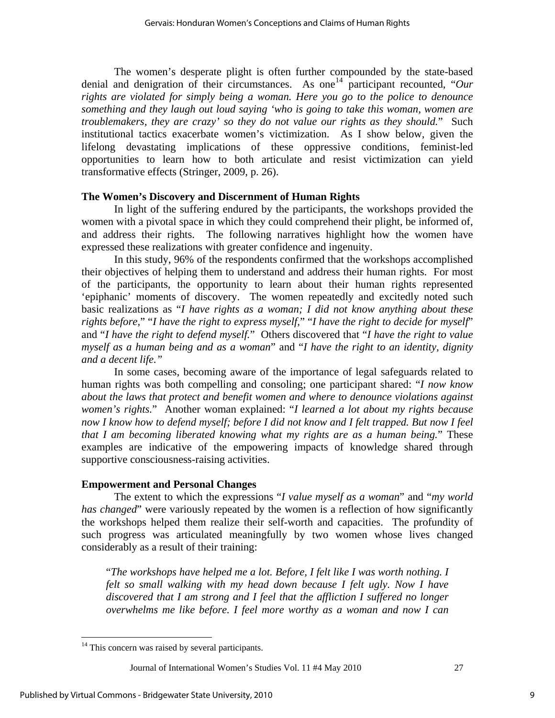The women's desperate plight is often further compounded by the state-based denial and denigration of their circumstances. As one<sup>[14](#page-9-0)</sup> participant recounted, "Our *rights are violated for simply being a woman. Here you go to the police to denounce something and they laugh out loud saying 'who is going to take this woman, women are troublemakers, they are crazy' so they do not value our rights as they should.*" Such institutional tactics exacerbate women's victimization. As I show below, given the lifelong devastating implications of these oppressive conditions, feminist-led opportunities to learn how to both articulate and resist victimization can yield transformative effects (Stringer, 2009, p. 26).

## **The Women's Discovery and Discernment of Human Rights**

In light of the suffering endured by the participants, the workshops provided the women with a pivotal space in which they could comprehend their plight, be informed of, and address their rights. The following narratives highlight how the women have expressed these realizations with greater confidence and ingenuity.

In this study, 96% of the respondents confirmed that the workshops accomplished their objectives of helping them to understand and address their human rights. For most of the participants, the opportunity to learn about their human rights represented 'epiphanic' moments of discovery. The women repeatedly and excitedly noted such basic realizations as "*I have rights as a woman; I did not know anything about these rights before,*" "*I have the right to express myself,*" "*I have the right to decide for myself*" and "*I have the right to defend myself.*" Others discovered that "*I have the right to value myself as a human being and as a woman*" and "*I have the right to an identity, dignity and a decent life."* 

In some cases, becoming aware of the importance of legal safeguards related to human rights was both compelling and consoling; one participant shared: "*I now know about the laws that protect and benefit women and where to denounce violations against women's rights.*" Another woman explained: "*I learned a lot about my rights because now I know how to defend myself; before I did not know and I felt trapped. But now I feel that I am becoming liberated knowing what my rights are as a human being.*" These examples are indicative of the empowering impacts of knowledge shared through supportive consciousness-raising activities.

#### **Empowerment and Personal Changes**

The extent to which the expressions "*I value myself as a woman*" and "*my world has changed*" were variously repeated by the women is a reflection of how significantly the workshops helped them realize their self-worth and capacities. The profundity of such progress was articulated meaningfully by two women whose lives changed considerably as a result of their training:

"*The workshops have helped me a lot. Before, I felt like I was worth nothing. I felt so small walking with my head down because I felt ugly. Now I have discovered that I am strong and I feel that the affliction I suffered no longer overwhelms me like before. I feel more worthy as a woman and now I can* 

<u>.</u>

<span id="page-9-0"></span><sup>&</sup>lt;sup>14</sup> This concern was raised by several participants.

Journal of International Women's Studies Vol. 11 #4 May 2010 27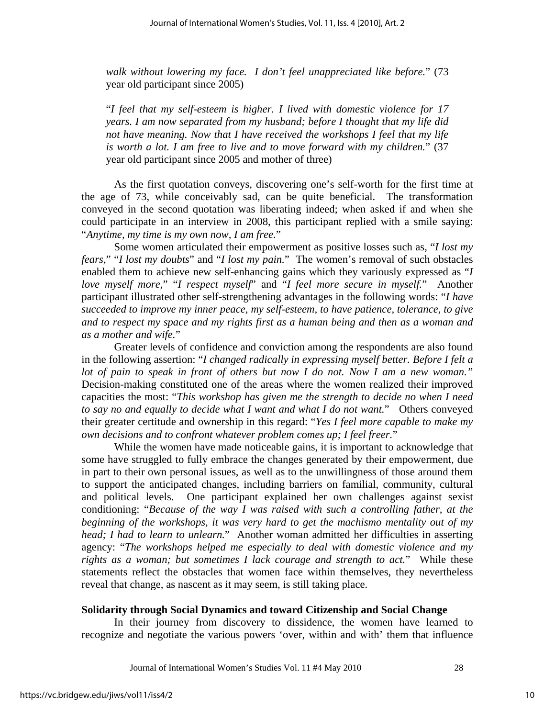*walk without lowering my face. I don't feel unappreciated like before.*" (73 year old participant since 2005)

"*I feel that my self-esteem is higher. I lived with domestic violence for 17 years. I am now separated from my husband; before I thought that my life did not have meaning. Now that I have received the workshops I feel that my life is worth a lot. I am free to live and to move forward with my children.*" (37 year old participant since 2005 and mother of three)

As the first quotation conveys, discovering one's self-worth for the first time at the age of 73, while conceivably sad, can be quite beneficial. The transformation conveyed in the second quotation was liberating indeed; when asked if and when she could participate in an interview in 2008, this participant replied with a smile saying: "*Anytime, my time is my own now, I am free.*"

Some women articulated their empowerment as positive losses such as, "*I lost my fears,*" "*I lost my doubts*" and "*I lost my pain.*" The women's removal of such obstacles enabled them to achieve new self-enhancing gains which they variously expressed as "*I love myself more,*" "*I respect myself*" and "*I feel more secure in myself.*" Another participant illustrated other self-strengthening advantages in the following words: "*I have succeeded to improve my inner peace, my self-esteem, to have patience, tolerance, to give and to respect my space and my rights first as a human being and then as a woman and as a mother and wife.*"

Greater levels of confidence and conviction among the respondents are also found in the following assertion: "*I changed radically in expressing myself better. Before I felt a lot of pain to speak in front of others but now I do not. Now I am a new woman."*  Decision-making constituted one of the areas where the women realized their improved capacities the most: "*This workshop has given me the strength to decide no when I need to say no and equally to decide what I want and what I do not want.*" Others conveyed their greater certitude and ownership in this regard: "*Yes I feel more capable to make my own decisions and to confront whatever problem comes up; I feel freer.*"

While the women have made noticeable gains, it is important to acknowledge that some have struggled to fully embrace the changes generated by their empowerment, due in part to their own personal issues, as well as to the unwillingness of those around them to support the anticipated changes, including barriers on familial, community, cultural and political levels. One participant explained her own challenges against sexist conditioning: "*Because of the way I was raised with such a controlling father, at the beginning of the workshops, it was very hard to get the machismo mentality out of my head; I had to learn to unlearn.*" Another woman admitted her difficulties in asserting agency: "*The workshops helped me especially to deal with domestic violence and my rights as a woman; but sometimes I lack courage and strength to act.*"While these statements reflect the obstacles that women face within themselves, they nevertheless reveal that change, as nascent as it may seem, is still taking place.

#### **Solidarity through Social Dynamics and toward Citizenship and Social Change**

In their journey from discovery to dissidence, the women have learned to recognize and negotiate the various powers 'over, within and with' them that influence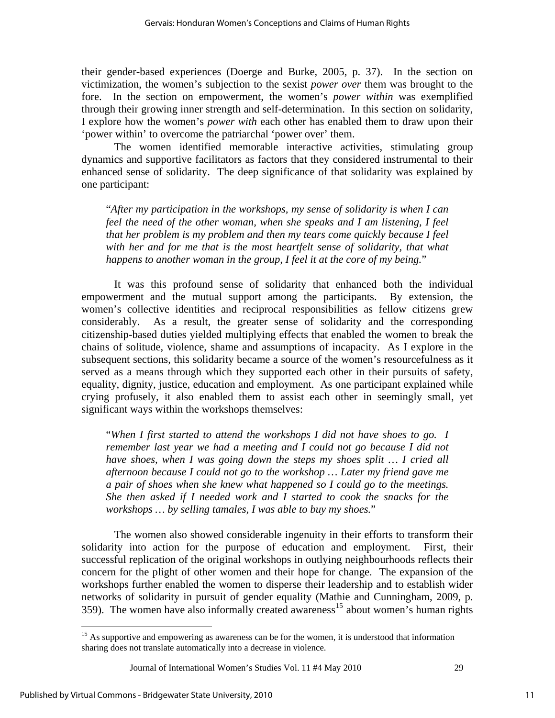their gender-based experiences (Doerge and Burke, 2005, p. 37). In the section on victimization, the women's subjection to the sexist *power over* them was brought to the fore. In the section on empowerment, the women's *power within* was exemplified through their growing inner strength and self-determination. In this section on solidarity, I explore how the women's *power with* each other has enabled them to draw upon their 'power within' to overcome the patriarchal 'power over' them.

The women identified memorable interactive activities, stimulating group dynamics and supportive facilitators as factors that they considered instrumental to their enhanced sense of solidarity. The deep significance of that solidarity was explained by one participant:

"*After my participation in the workshops, my sense of solidarity is when I can feel the need of the other woman, when she speaks and I am listening, I feel that her problem is my problem and then my tears come quickly because I feel*  with her and for me that is the most heartfelt sense of solidarity, that what *happens to another woman in the group, I feel it at the core of my being.*"

It was this profound sense of solidarity that enhanced both the individual empowerment and the mutual support among the participants. By extension, the women's collective identities and reciprocal responsibilities as fellow citizens grew considerably. As a result, the greater sense of solidarity and the corresponding citizenship-based duties yielded multiplying effects that enabled the women to break the chains of solitude, violence, shame and assumptions of incapacity. As I explore in the subsequent sections, this solidarity became a source of the women's resourcefulness as it served as a means through which they supported each other in their pursuits of safety, equality, dignity, justice, education and employment. As one participant explained while crying profusely, it also enabled them to assist each other in seemingly small, yet significant ways within the workshops themselves:

"*When I first started to attend the workshops I did not have shoes to go. I remember last year we had a meeting and I could not go because I did not have shoes, when I was going down the steps my shoes split … I cried all afternoon because I could not go to the workshop … Later my friend gave me a pair of shoes when she knew what happened so I could go to the meetings. She then asked if I needed work and I started to cook the snacks for the workshops … by selling tamales, I was able to buy my shoes.*"

The women also showed considerable ingenuity in their efforts to transform their solidarity into action for the purpose of education and employment. First, their successful replication of the original workshops in outlying neighbourhoods reflects their concern for the plight of other women and their hope for change. The expansion of the workshops further enabled the women to disperse their leadership and to establish wider networks of solidarity in pursuit of gender equality (Mathie and Cunningham, 2009, p.  $359$ ). The women have also informally created awareness<sup>[15](#page-11-0)</sup> about women's human rights

<span id="page-11-0"></span><sup>&</sup>lt;sup>15</sup> As supportive and empowering as awareness can be for the women, it is understood that information sharing does not translate automatically into a decrease in violence.

Journal of International Women's Studies Vol. 11 #4 May 2010 29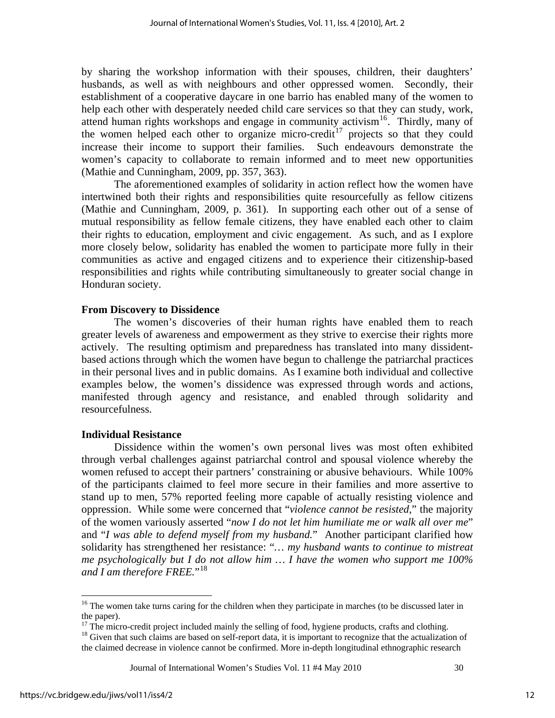by sharing the workshop information with their spouses, children, their daughters' husbands, as well as with neighbours and other oppressed women. Secondly, their establishment of a cooperative daycare in one barrio has enabled many of the women to help each other with desperately needed child care services so that they can study, work, attend human rights workshops and engage in community activism<sup>[16](#page-12-0)</sup>. Thirdly, many of the women helped each other to organize micro-credit<sup>[17](#page-12-1)</sup> projects so that they could increase their income to support their families. Such endeavours demonstrate the women's capacity to collaborate to remain informed and to meet new opportunities (Mathie and Cunningham, 2009, pp. 357, 363).

The aforementioned examples of solidarity in action reflect how the women have intertwined both their rights and responsibilities quite resourcefully as fellow citizens (Mathie and Cunningham, 2009, p. 361). In supporting each other out of a sense of mutual responsibility as fellow female citizens, they have enabled each other to claim their rights to education, employment and civic engagement. As such, and as I explore more closely below, solidarity has enabled the women to participate more fully in their communities as active and engaged citizens and to experience their citizenship-based responsibilities and rights while contributing simultaneously to greater social change in Honduran society.

#### **From Discovery to Dissidence**

The women's discoveries of their human rights have enabled them to reach greater levels of awareness and empowerment as they strive to exercise their rights more actively. The resulting optimism and preparedness has translated into many dissidentbased actions through which the women have begun to challenge the patriarchal practices in their personal lives and in public domains. As I examine both individual and collective examples below, the women's dissidence was expressed through words and actions, manifested through agency and resistance, and enabled through solidarity and resourcefulness.

#### **Individual Resistance**

Dissidence within the women's own personal lives was most often exhibited through verbal challenges against patriarchal control and spousal violence whereby the women refused to accept their partners' constraining or abusive behaviours. While 100% of the participants claimed to feel more secure in their families and more assertive to stand up to men, 57% reported feeling more capable of actually resisting violence and oppression. While some were concerned that "*violence cannot be resisted,*" the majority of the women variously asserted "*now I do not let him humiliate me or walk all over me*" and "*I was able to defend myself from my husband.*" Another participant clarified how solidarity has strengthened her resistance: "*… my husband wants to continue to mistreat me psychologically but I do not allow him … I have the women who support me 100% and I am therefore FREE.*"[18](#page-12-2)

Journal of International Women's Studies Vol. 11 #4 May 2010 30

<span id="page-12-0"></span><sup>&</sup>lt;sup>16</sup> The women take turns caring for the children when they participate in marches (to be discussed later in the paper).

 $17$  The micro-credit project included mainly the selling of food, hygiene products, crafts and clothing.

<span id="page-12-2"></span><span id="page-12-1"></span><sup>&</sup>lt;sup>18</sup> Given that such claims are based on self-report data, it is important to recognize that the actualization of the claimed decrease in violence cannot be confirmed. More in-depth longitudinal ethnographic research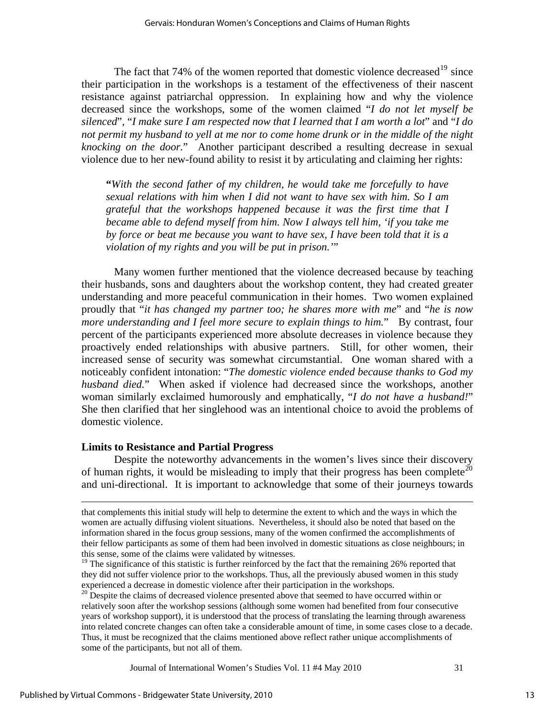The fact that 74% of the women reported that domestic violence decreased<sup>[19](#page-13-0)</sup> since their participation in the workshops is a testament of the effectiveness of their nascent resistance against patriarchal oppression. In explaining how and why the violence decreased since the workshops, some of the women claimed "*I do not let myself be silenced*", "*I make sure I am respected now that I learned that I am worth a lot*" and "*I do not permit my husband to yell at me nor to come home drunk or in the middle of the night knocking on the door.*" Another participant described a resulting decrease in sexual violence due to her new-found ability to resist it by articulating and claiming her rights:

**"***With the second father of my children, he would take me forcefully to have sexual relations with him when I did not want to have sex with him. So I am grateful that the workshops happened because it was the first time that I became able to defend myself from him. Now I always tell him, 'if you take me by force or beat me because you want to have sex, I have been told that it is a violation of my rights and you will be put in prison.'*"

Many women further mentioned that the violence decreased because by teaching their husbands, sons and daughters about the workshop content, they had created greater understanding and more peaceful communication in their homes. Two women explained proudly that "*it has changed my partner too; he shares more with me*" and "*he is now more understanding and I feel more secure to explain things to him.*" By contrast, four percent of the participants experienced more absolute decreases in violence because they proactively ended relationships with abusive partners. Still, for other women, their increased sense of security was somewhat circumstantial. One woman shared with a noticeably confident intonation: "*The domestic violence ended because thanks to God my husband died.*" When asked if violence had decreased since the workshops, another woman similarly exclaimed humorously and emphatically, "*I do not have a husband!*" She then clarified that her singlehood was an intentional choice to avoid the problems of domestic violence.

#### **Limits to Resistance and Partial Progress**

Despite the noteworthy advancements in the women's lives since their discovery of human rights, it would be misleading to imply that their progress has been complete<sup>[20](#page-13-1)</sup> and uni-directional. It is important to acknowledge that some of their journeys towards

that complements this initial study will help to determine the extent to which and the ways in which the women are actually diffusing violent situations. Nevertheless, it should also be noted that based on the information shared in the focus group sessions, many of the women confirmed the accomplishments of their fellow participants as some of them had been involved in domestic situations as close neighbours; in this sense, some of the claims were validated by witnesses.

<span id="page-13-0"></span><sup>&</sup>lt;sup>19</sup> The significance of this statistic is further reinforced by the fact that the remaining 26% reported that they did not suffer violence prior to the workshops. Thus, all the previously abused women in this study experienced a decrease in domestic violence after their participation in the workshops.<br><sup>20</sup> Despite the claims of decreased violence presented above that seemed to have occurred within or

<span id="page-13-1"></span>relatively soon after the workshop sessions (although some women had benefited from four consecutive years of workshop support), it is understood that the process of translating the learning through awareness into related concrete changes can often take a considerable amount of time, in some cases close to a decade. Thus, it must be recognized that the claims mentioned above reflect rather unique accomplishments of some of the participants, but not all of them.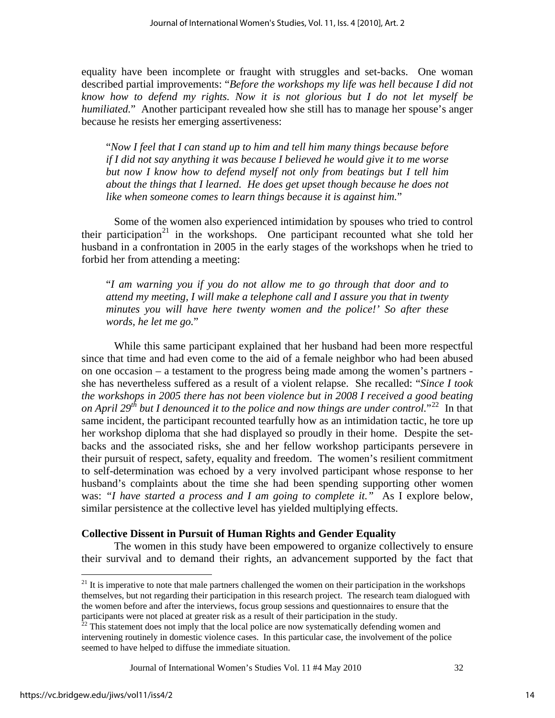equality have been incomplete or fraught with struggles and set-backs. One woman described partial improvements: "*Before the workshops my life was hell because I did not know how to defend my rights. Now it is not glorious but I do not let myself be humiliated.*" Another participant revealed how she still has to manage her spouse's anger because he resists her emerging assertiveness:

"*Now I feel that I can stand up to him and tell him many things because before if I did not say anything it was because I believed he would give it to me worse but now I know how to defend myself not only from beatings but I tell him about the things that I learned. He does get upset though because he does not like when someone comes to learn things because it is against him.*"

Some of the women also experienced intimidation by spouses who tried to control their participation<sup>[21](#page-14-0)</sup> in the workshops. One participant recounted what she told her husband in a confrontation in 2005 in the early stages of the workshops when he tried to forbid her from attending a meeting:

"*I am warning you if you do not allow me to go through that door and to attend my meeting, I will make a telephone call and I assure you that in twenty minutes you will have here twenty women and the police!' So after these words, he let me go.*"

While this same participant explained that her husband had been more respectful since that time and had even come to the aid of a female neighbor who had been abused on one occasion – a testament to the progress being made among the women's partners she has nevertheless suffered as a result of a violent relapse. She recalled: "*Since I took the workshops in 2005 there has not been violence but in 2008 I received a good beating on April 29<sup>th</sup> but I denounced it to the police and now things are under control.*"<sup>[22](#page-14-1)</sup> In that same incident, the participant recounted tearfully how as an intimidation tactic, he tore up her workshop diploma that she had displayed so proudly in their home. Despite the setbacks and the associated risks, she and her fellow workshop participants persevere in their pursuit of respect, safety, equality and freedom. The women's resilient commitment to self-determination was echoed by a very involved participant whose response to her husband's complaints about the time she had been spending supporting other women was: *"I have started a process and I am going to complete it."* As I explore below, similar persistence at the collective level has yielded multiplying effects.

#### **Collective Dissent in Pursuit of Human Rights and Gender Equality**

The women in this study have been empowered to organize collectively to ensure their survival and to demand their rights, an advancement supported by the fact that

Journal of International Women's Studies Vol. 11 #4 May 2010 32

<span id="page-14-0"></span> $21$  It is imperative to note that male partners challenged the women on their participation in the workshops themselves, but not regarding their participation in this research project. The research team dialogued with the women before and after the interviews, focus group sessions and questionnaires to ensure that the participants were not placed at greater risk as a result of their participation in the study.<br><sup>22</sup> This statement does not imply that the local police are now systematically defending women and

<span id="page-14-1"></span>intervening routinely in domestic violence cases. In this particular case, the involvement of the police seemed to have helped to diffuse the immediate situation.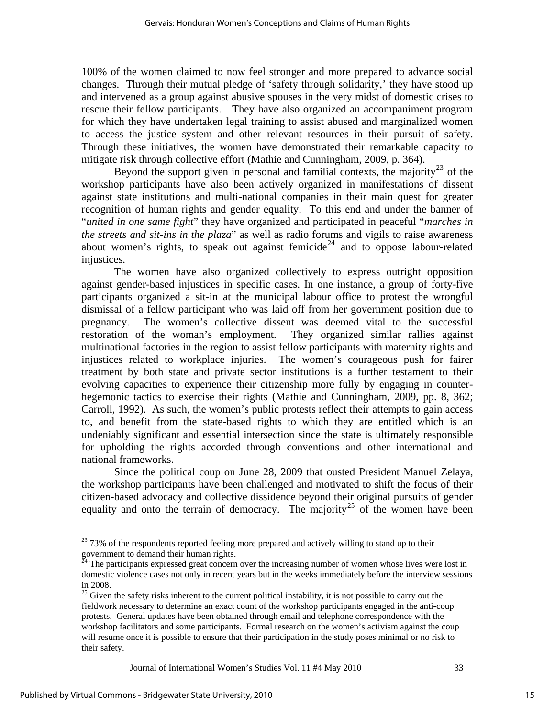100% of the women claimed to now feel stronger and more prepared to advance social changes. Through their mutual pledge of 'safety through solidarity,' they have stood up and intervened as a group against abusive spouses in the very midst of domestic crises to rescue their fellow participants. They have also organized an accompaniment program for which they have undertaken legal training to assist abused and marginalized women to access the justice system and other relevant resources in their pursuit of safety. Through these initiatives, the women have demonstrated their remarkable capacity to mitigate risk through collective effort (Mathie and Cunningham, 2009, p. 364).

Beyond the support given in personal and familial contexts, the majority<sup>[23](#page-15-0)</sup> of the workshop participants have also been actively organized in manifestations of dissent against state institutions and multi-national companies in their main quest for greater recognition of human rights and gender equality. To this end and under the banner of "*united in one same fight*" they have organized and participated in peaceful "*marches in the streets and sit-ins in the plaza*" as well as radio forums and vigils to raise awareness about women's rights, to speak out against femicide<sup>[24](#page-15-1)</sup> and to oppose labour-related injustices.

The women have also organized collectively to express outright opposition against gender-based injustices in specific cases. In one instance, a group of forty-five participants organized a sit-in at the municipal labour office to protest the wrongful dismissal of a fellow participant who was laid off from her government position due to pregnancy. The women's collective dissent was deemed vital to the successful restoration of the woman's employment. They organized similar rallies against multinational factories in the region to assist fellow participants with maternity rights and injustices related to workplace injuries. The women's courageous push for fairer treatment by both state and private sector institutions is a further testament to their evolving capacities to experience their citizenship more fully by engaging in counterhegemonic tactics to exercise their rights (Mathie and Cunningham, 2009, pp. 8, 362; Carroll, 1992). As such, the women's public protests reflect their attempts to gain access to, and benefit from the state-based rights to which they are entitled which is an undeniably significant and essential intersection since the state is ultimately responsible for upholding the rights accorded through conventions and other international and national frameworks.

Since the political coup on June 28, 2009 that ousted President Manuel Zelaya, the workshop participants have been challenged and motivated to shift the focus of their citizen-based advocacy and collective dissidence beyond their original pursuits of gender equality and onto the terrain of democracy. The majority<sup>[25](#page-15-2)</sup> of the women have been

Journal of International Women's Studies Vol. 11 #4 May 2010 33

<span id="page-15-0"></span><sup>&</sup>lt;sup>23</sup> 73% of the respondents reported feeling more prepared and actively willing to stand up to their government to demand their human rights.

<span id="page-15-1"></span> $^{24}$  The participants expressed great concern over the increasing number of women whose lives were lost in domestic violence cases not only in recent years but in the weeks immediately before the interview sessions in 2008.

<span id="page-15-2"></span><sup>&</sup>lt;sup>25</sup> Given the safety risks inherent to the current political instability, it is not possible to carry out the fieldwork necessary to determine an exact count of the workshop participants engaged in the anti-coup protests. General updates have been obtained through email and telephone correspondence with the workshop facilitators and some participants. Formal research on the women's activism against the coup will resume once it is possible to ensure that their participation in the study poses minimal or no risk to their safety.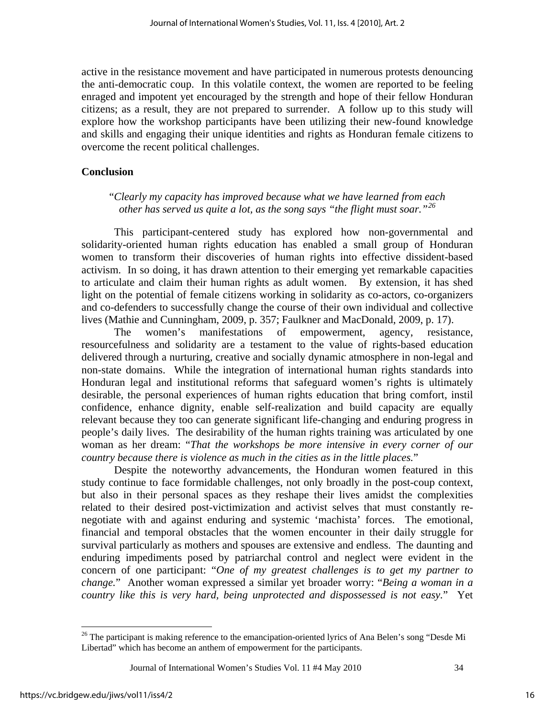active in the resistance movement and have participated in numerous protests denouncing the anti-democratic coup. In this volatile context, the women are reported to be feeling enraged and impotent yet encouraged by the strength and hope of their fellow Honduran citizens; as a result, they are not prepared to surrender. A follow up to this study will explore how the workshop participants have been utilizing their new-found knowledge and skills and engaging their unique identities and rights as Honduran female citizens to overcome the recent political challenges.

#### **Conclusion**

#### "*Clearly my capacity has improved because what we have learned from each other has served us quite a lot, as the song says "the flight must soar."[26](#page-16-0)*

This participant-centered study has explored how non-governmental and solidarity-oriented human rights education has enabled a small group of Honduran women to transform their discoveries of human rights into effective dissident-based activism. In so doing, it has drawn attention to their emerging yet remarkable capacities to articulate and claim their human rights as adult women. By extension, it has shed light on the potential of female citizens working in solidarity as co-actors, co-organizers and co-defenders to successfully change the course of their own individual and collective lives (Mathie and Cunningham, 2009, p. 357; Faulkner and MacDonald, 2009, p. 17).

The women's manifestations of empowerment, agency, resistance, resourcefulness and solidarity are a testament to the value of rights-based education delivered through a nurturing, creative and socially dynamic atmosphere in non-legal and non-state domains. While the integration of international human rights standards into Honduran legal and institutional reforms that safeguard women's rights is ultimately desirable, the personal experiences of human rights education that bring comfort, instil confidence, enhance dignity, enable self-realization and build capacity are equally relevant because they too can generate significant life-changing and enduring progress in people's daily lives. The desirability of the human rights training was articulated by one woman as her dream: "*That the workshops be more intensive in every corner of our country because there is violence as much in the cities as in the little places.*"

Despite the noteworthy advancements, the Honduran women featured in this study continue to face formidable challenges, not only broadly in the post-coup context, but also in their personal spaces as they reshape their lives amidst the complexities related to their desired post-victimization and activist selves that must constantly renegotiate with and against enduring and systemic 'machista' forces. The emotional, financial and temporal obstacles that the women encounter in their daily struggle for survival particularly as mothers and spouses are extensive and endless. The daunting and enduring impediments posed by patriarchal control and neglect were evident in the concern of one participant: "*One of my greatest challenges is to get my partner to change.*" Another woman expressed a similar yet broader worry: "*Being a woman in a country like this is very hard, being unprotected and dispossessed is not easy.*" Yet

Journal of International Women's Studies Vol. 11 #4 May 2010 34

<span id="page-16-0"></span><sup>&</sup>lt;sup>26</sup> The participant is making reference to the emancipation-oriented lyrics of Ana Belen's song "Desde Mi Libertad" which has become an anthem of empowerment for the participants.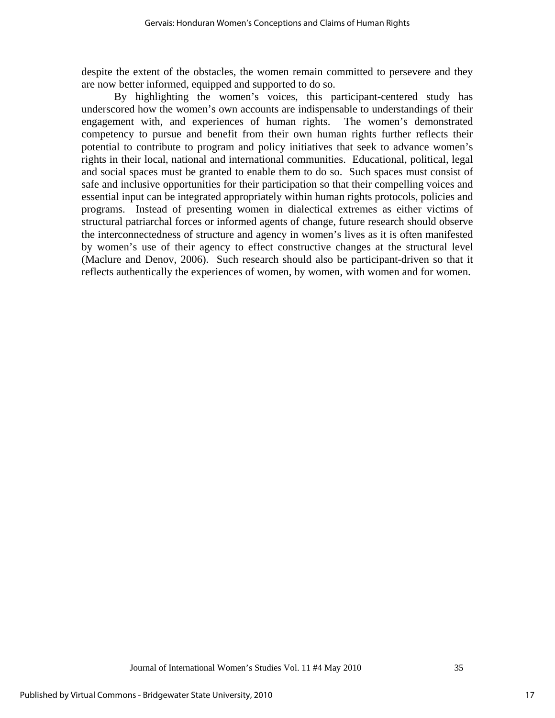despite the extent of the obstacles, the women remain committed to persevere and they are now better informed, equipped and supported to do so.

By highlighting the women's voices, this participant-centered study has underscored how the women's own accounts are indispensable to understandings of their engagement with, and experiences of human rights. The women's demonstrated competency to pursue and benefit from their own human rights further reflects their potential to contribute to program and policy initiatives that seek to advance women's rights in their local, national and international communities. Educational, political, legal and social spaces must be granted to enable them to do so. Such spaces must consist of safe and inclusive opportunities for their participation so that their compelling voices and essential input can be integrated appropriately within human rights protocols, policies and programs. Instead of presenting women in dialectical extremes as either victims of structural patriarchal forces or informed agents of change, future research should observe the interconnectedness of structure and agency in women's lives as it is often manifested by women's use of their agency to effect constructive changes at the structural level (Maclure and Denov, 2006). Such research should also be participant-driven so that it reflects authentically the experiences of women, by women, with women and for women.